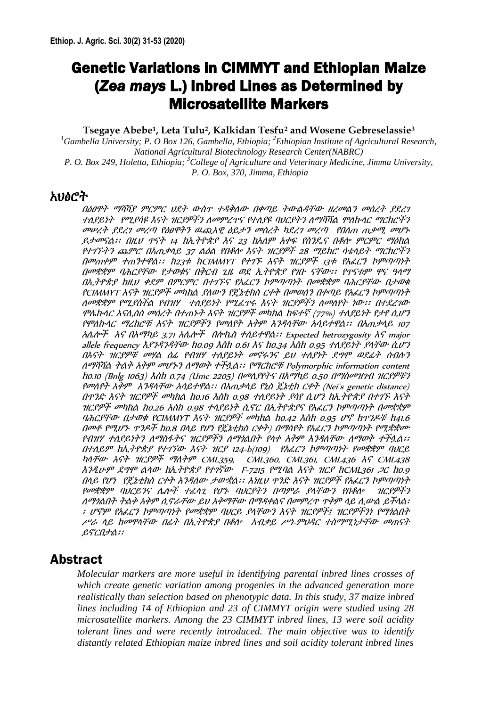# Genetic Variations in CIMMYT and Ethiopian Maize (*Zea mays* L.) Inbred Lines as Determined by Microsatellite Markers

#### **Tsegaye Abebe<sup>1</sup> , Leta Tulu<sup>2</sup> , Kalkidan Tesfu<sup>2</sup> and Wosene Gebreselassie<sup>3</sup>**

<sup>1</sup>*Gambella University; P. O Box 126, Gambella, Ethiopia; <sup>2</sup><i>Ethiopian Institute of Agricultural Research, National Agricultural Biotechnology Research Center(NABRC) P. O. Box 249, Holetta, Ethiopia; <sup>3</sup>College of Agriculture and Veterinary Medicine, Jimma University, P. O. Box, 370, Jimma, Ethiopia*

### አህፅሮት

በዕፀዋት ማሻሻያ ምርምር ህደት ውስጥ ተዳቅለው በቀጣይ ትውልዳቸው ዘረመልን መሰረት ያደረገ ተለያይነት የሚያሳዩ እናት ዝርያዎችን ለመምረጥና የተለያዩ ባህርያትን ለማሻሻል ሞለኩላር ማርክሮችን መሠረት ያደረገ መረጣ የዕፀዋትን ዉጪአዊ ዕይታን መሰረት ካደረገ መረጣ የበለጠ ጠቃሚ መሆኑ ይታመናል፡፡ በዚህ ጥናት 14 ከኢትዮጵያ እና 23 ከአለም አቀፍ የስንዴና በቆሎ ምርምር ማዕከል የተገኙትን ጨምሮ በአጠቃላይ <sup>37</sup>ልዕል የበቆሎ እናት ዝርያዎች <sup>28</sup>ማይክሮ ሳቴላይት ማርከሮችን በመጠቀም ተጠንተዋል፡፡ ከ23ቱ ከCIMMYT የተገኙ እናት ዝርያዎች <sup>13</sup>ቱ የአፈርን ኮምጣጣነት በመቋቋም ባሕርያቸው የታወቁና በቅርብ ጊዜ ወደ ኢትዮጵያ የገቡ ናቸው፡፡ የጥናቱም ዋና ዓላማ በኢትዮጵያ ከዚህ ቀደም በምርምር በተገኙና የአፈርን ኮምጣጣነት በመቋቋም ባሕርያቸው በታወቁ የCIMMYT እናት ዝርያዎች መካከል ያለውን የጄኔቲክስ ርቀት በመወሰን በቀጣይ የአፈርን ኮምጣጣነት ለመቋቋም የሚያስችል የብዝሃ ተለያይነት የሚፈጥሩ እናት ዝርያዎችን ለመለየት ነው፡፡ በተደረገው ሞሌኩላር አናሊስስ መሰረት በተጠኑት እናት ዝርያዎች መካከል ከፍተኛ (77%) ተለያይነት የታየ ሲሆን የሞለኩላር ማረከሮቹ እናት ዝርያዎችን የመለየት አቅም እንዳላቸው አሳይተዋል፡፡ በአጠቃላይ <sup>107</sup> አሌሎች እና በአማካይ 3.71 አሌሎች በሎኬስ ተለይተዋል፡፡ Expected hetrozygosity እና major allele frequency እያንዳንዳቸው ከ0.09 እስከ 0.61 እና ከ0.34 አስከ 0.95 ተለያይነት ያላቸው ሲሆን በእናት ዝርያዎቹ መሃል ሰፊ የብዝሃ ተለያይነት መኖሩንና ይህ ተለያነት ደግሞ ወደፊት ሰብሉን ለማሻሻል ትልቅ አቅም መሆኑን ለማወቅ ተችሏል፡፡ የማርከሮቹ Polymorphic information content ከ0.10 (Bnlg 1063) እስከ 0.74 (Umc 2205) በመለያየትና በአማካይ 0.50 በማስመዝገብ ዝርያዎቹን የመለየት አቅም እንዳላቸው አሳይተዋል፡፡ በአጠቃላይ የኒስ ጄኔቲክ ርቀት (Nei`s genetic distance) በጥንድ እናት ዝርያዎች መካከል ከ0.16 እስከ 0.98 ተለያይነት ያሳየ ሲሆን ከኢትዮጵያ በተገኙ እናት ዝርያዎች መካከል ከ0.26 እስከ 0.98 ተላያይነት ሲኖር በኢትዮጵያና የአፈርን ኮምጣጣነት በመቋቋም ባሕርያቸው በታወቁ የCIMMYT እናት ዝርያዎች መካከል ከ0.42 እስከ 0.95 ሆኖ ከጥንዶቹ ከ41.6 በመቶ የሚሆኑ ጥንዶች <sup>ከ</sup>0.8 በላይ የሆነ የጄኔቲክስ ርቀት) በማሳየት የአፈርን ኮምጣጣነት የሚቋቋሙ የብዝሃ ተለያይነትን ለማስፋትና ዝርያዎችን ለማጎልበት የላቀ አቅም እንዳለቸው ለማወቅ ተችሏል፡፡ በተለይም ከኢትዮጵያ የተገኘው እናት ዝርያ 124-b(109) የአፈርን ኮምጣጣነት የመቋቋም ባህርይ ካላቸው እናት ዝርያዎች ማለትም CML359, CML360, CML361, CML436 እና CML438 እንዲሁም ደግሞ ልላው ከኢትዮጵያ የተገኛው F-7215 የሚባል እናት ዝርያ ከCML361 ጋር ከ0.9 በላይ የሆነ የጄኔቲክስ ርቀት እንዳለው ታውቋል፡፡ እነዚህ ጥንድ እናት ዝርያዎች የአፈርን ኮምጣጣነት የመቋቋም ባህርይንና ሌሎች ተፈላጊ የሆኑ ባህርያትን በጣምራ ያላቸውን የበቆሎ ዝርያዎችን ለማጎልበት ትልቅ አቅም ሲኖራቸው ይህ አቅማቸው በማዳቀልና በመምረጥ ጥቅም ላይ ሊውል ይችላል፡ ፡ ሆኖም የአፈርን ኮምጣጣነት የመቋቋም ባህርይ ያላቸውን እናት ዝርያዎች፤ ዝርያዎችንነ የማጎልበት ሥራ ላይ ከመዋላቸው በፊት በኢትዮጵያ በቆሎ አብቃይ ሥነ-ምህዳር ተስማሚነታቸው መጠናት ይኖርበታል፡፡

## Abstract

*Molecular markers are more useful in identifying parental inbred lines crosses of which create genetic variation among progenies in the advanced generation more realistically than selection based on phenotypic data. In this study, 37 maize inbred lines including 14 of Ethiopian and 23 of CIMMYT origin were studied using 28 microsatellite markers. Among the 23 CIMMYT inbred lines, 13 were soil acidity tolerant lines and were recently introduced. The main objective was to identify distantly related Ethiopian maize inbred lines and soil acidity tolerant inbred lines*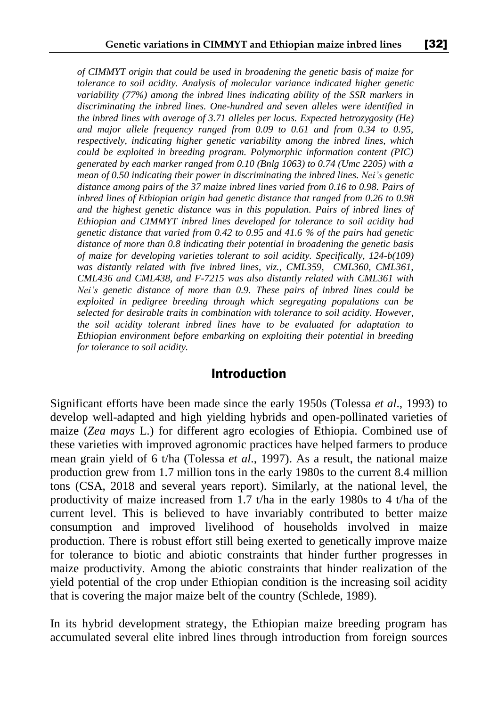*of CIMMYT origin that could be used in broadening the genetic basis of maize for tolerance to soil acidity. Analysis of molecular variance indicated higher genetic variability (77%) among the inbred lines indicating ability of the SSR markers in discriminating the inbred lines. One-hundred and seven alleles were identified in the inbred lines with average of 3.71 alleles per locus. Expected hetrozygosity (He) and major allele frequency ranged from 0.09 to 0.61 and from 0.34 to 0.95, respectively, indicating higher genetic variability among the inbred lines, which could be exploited in breeding program. Polymorphic information content (PIC) generated by each marker ranged from 0.10 (Bnlg 1063) to 0.74 (Umc 2205) with a mean of 0.50 indicating their power in discriminating the inbred lines. Nei's genetic distance among pairs of the 37 maize inbred lines varied from 0.16 to 0.98. Pairs of inbred lines of Ethiopian origin had genetic distance that ranged from 0.26 to 0.98 and the highest genetic distance was in this population. Pairs of inbred lines of Ethiopian and CIMMYT inbred lines developed for tolerance to soil acidity had genetic distance that varied from 0.42 to 0.95 and 41.6 % of the pairs had genetic distance of more than 0.8 indicating their potential in broadening the genetic basis of maize for developing varieties tolerant to soil acidity. Specifically, 124-b(109) was distantly related with five inbred lines, viz., CML359, CML360, CML361, CML436 and CML438, and F-7215 was also distantly related with CML361 with Nei's genetic distance of more than 0.9. These pairs of inbred lines could be exploited in pedigree breeding through which segregating populations can be selected for desirable traits in combination with tolerance to soil acidity. However, the soil acidity tolerant inbred lines have to be evaluated for adaptation to Ethiopian environment before embarking on exploiting their potential in breeding for tolerance to soil acidity.*

### Introduction

Significant efforts have been made since the early 1950s (Tolessa *et al*., 1993) to develop well-adapted and high yielding hybrids and open-pollinated varieties of maize (*Zea mays* L.) for different agro ecologies of Ethiopia. Combined use of these varieties with improved agronomic practices have helped farmers to produce mean grain yield of 6 t/ha (Tolessa *et al*., 1997). As a result, the national maize production grew from 1.7 million tons in the early 1980s to the current 8.4 million tons (CSA, 2018 and several years report). Similarly, at the national level, the productivity of maize increased from 1.7 t/ha in the early 1980s to 4 t/ha of the current level. This is believed to have invariably contributed to better maize consumption and improved livelihood of households involved in maize production. There is robust effort still being exerted to genetically improve maize for tolerance to biotic and abiotic constraints that hinder further progresses in maize productivity. Among the abiotic constraints that hinder realization of the yield potential of the crop under Ethiopian condition is the increasing soil acidity that is covering the major maize belt of the country (Schlede, 1989).

In its hybrid development strategy, the Ethiopian maize breeding program has accumulated several elite inbred lines through introduction from foreign sources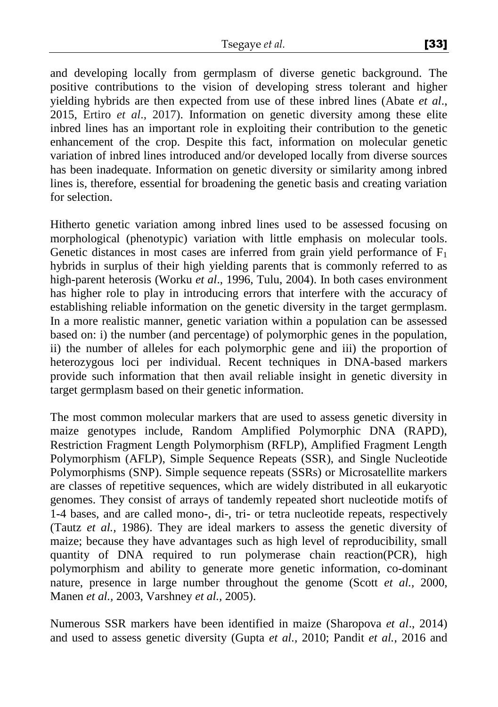and developing locally from germplasm of diverse genetic background. The positive contributions to the vision of developing stress tolerant and higher yielding hybrids are then expected from use of these inbred lines (Abate *et al*., 2015, Ertiro *et al*., 2017). Information on genetic diversity among these elite inbred lines has an important role in exploiting their contribution to the genetic enhancement of the crop. Despite this fact, information on molecular genetic variation of inbred lines introduced and/or developed locally from diverse sources has been inadequate. Information on genetic diversity or similarity among inbred lines is, therefore, essential for broadening the genetic basis and creating variation for selection.

Hitherto genetic variation among inbred lines used to be assessed focusing on morphological (phenotypic) variation with little emphasis on molecular tools. Genetic distances in most cases are inferred from grain yield performance of  $F_1$ hybrids in surplus of their high yielding parents that is commonly referred to as high-parent heterosis (Worku *et al*., 1996, Tulu, 2004). In both cases environment has higher role to play in introducing errors that interfere with the accuracy of establishing reliable information on the genetic diversity in the target germplasm. In a more realistic manner, genetic variation within a population can be assessed based on: i) the number (and percentage) of polymorphic genes in the population, ii) the number of alleles for each polymorphic gene and iii) the proportion of heterozygous loci per individual. Recent techniques in DNA-based markers provide such information that then avail reliable insight in genetic diversity in target germplasm based on their genetic information.

The most common molecular markers that are used to assess genetic diversity in maize genotypes include, Random Amplified Polymorphic DNA (RAPD), Restriction Fragment Length Polymorphism (RFLP), Amplified Fragment Length Polymorphism (AFLP), Simple Sequence Repeats (SSR), and Single Nucleotide Polymorphisms (SNP). Simple sequence repeats (SSRs) or Microsatellite markers are classes of repetitive sequences, which are widely distributed in all eukaryotic genomes. They consist of arrays of tandemly repeated short nucleotide motifs of 1-4 bases, and are called mono-, di-, tri- or tetra nucleotide repeats, respectively (Tautz *et al.,* 1986). They are ideal markers to assess the genetic diversity of maize; because they have advantages such as high level of reproducibility, small quantity of DNA required to run polymerase chain reaction(PCR), high polymorphism and ability to generate more genetic information, co-dominant nature, presence in large number throughout the genome (Scott *et al.,* 2000, Manen *et al.,* 2003, Varshney *et al.,* 2005).

Numerous SSR markers have been identified in maize (Sharopova *et al*., 2014) and used to assess genetic diversity (Gupta *et al.,* 2010; Pandit *et al.*, 2016 and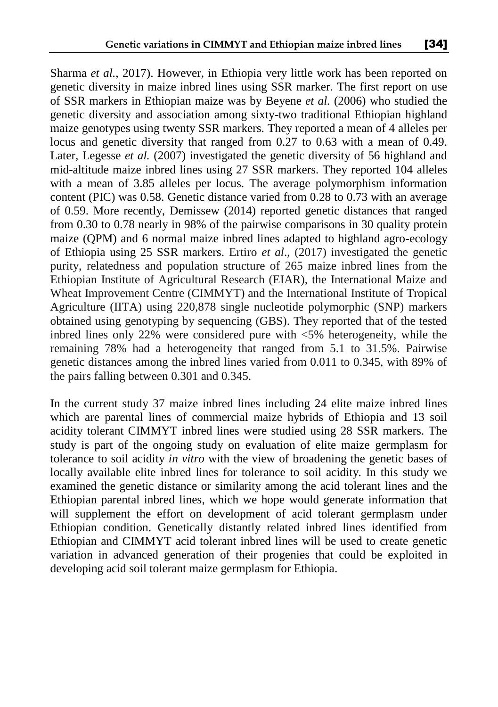Sharma *et al.,* 2017). However, in Ethiopia very little work has been reported on genetic diversity in maize inbred lines using SSR marker. The first report on use of SSR markers in Ethiopian maize was by Beyene *et al.* (2006) who studied the genetic diversity and association among sixty-two traditional Ethiopian highland maize genotypes using twenty SSR markers. They reported a mean of 4 alleles per locus and genetic diversity that ranged from 0.27 to 0.63 with a mean of 0.49. Later, Legesse *et al.* (2007) investigated the genetic diversity of 56 highland and mid-altitude maize inbred lines using 27 SSR markers. They reported 104 alleles with a mean of 3.85 alleles per locus. The average polymorphism information content (PIC) was 0.58. Genetic distance varied from 0.28 to 0.73 with an average of 0.59. More recently, Demissew (2014) reported genetic distances that ranged from 0.30 to 0.78 nearly in 98% of the pairwise comparisons in 30 quality protein maize (QPM) and 6 normal maize inbred lines adapted to highland agro-ecology of Ethiopia using 25 SSR markers. Ertiro *et al*., (2017) investigated the genetic purity, relatedness and population structure of 265 maize inbred lines from the Ethiopian Institute of Agricultural Research (EIAR), the International Maize and Wheat Improvement Centre (CIMMYT) and the International Institute of Tropical Agriculture (IITA) using 220,878 single nucleotide polymorphic (SNP) markers obtained using genotyping by sequencing (GBS). They reported that of the tested inbred lines only 22% were considered pure with <5% heterogeneity, while the remaining 78% had a heterogeneity that ranged from 5.1 to 31.5%. Pairwise genetic distances among the inbred lines varied from 0.011 to 0.345, with 89% of the pairs falling between 0.301 and 0.345.

In the current study 37 maize inbred lines including 24 elite maize inbred lines which are parental lines of commercial maize hybrids of Ethiopia and 13 soil acidity tolerant CIMMYT inbred lines were studied using 28 SSR markers. The study is part of the ongoing study on evaluation of elite maize germplasm for tolerance to soil acidity *in vitro* with the view of broadening the genetic bases of locally available elite inbred lines for tolerance to soil acidity. In this study we examined the genetic distance or similarity among the acid tolerant lines and the Ethiopian parental inbred lines, which we hope would generate information that will supplement the effort on development of acid tolerant germplasm under Ethiopian condition. Genetically distantly related inbred lines identified from Ethiopian and CIMMYT acid tolerant inbred lines will be used to create genetic variation in advanced generation of their progenies that could be exploited in developing acid soil tolerant maize germplasm for Ethiopia.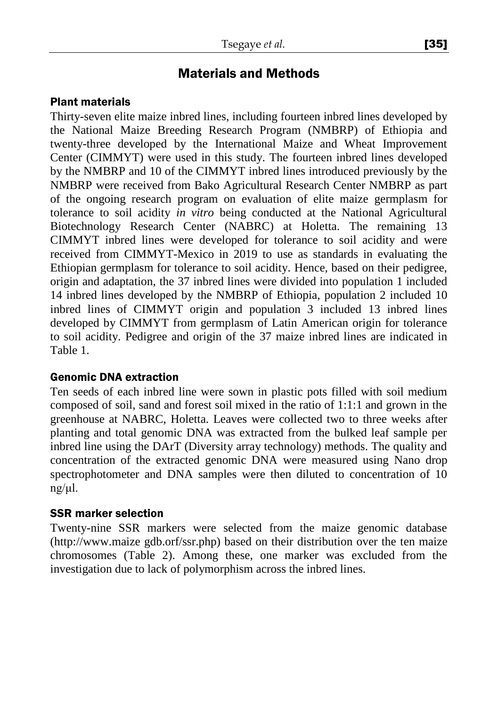## Materials and Methods

### Plant materials

Thirty-seven elite maize inbred lines, including fourteen inbred lines developed by the National Maize Breeding Research Program (NMBRP) of Ethiopia and twenty-three developed by the International Maize and Wheat Improvement Center (CIMMYT) were used in this study. The fourteen inbred lines developed by the NMBRP and 10 of the CIMMYT inbred lines introduced previously by the NMBRP were received from Bako Agricultural Research Center NMBRP as part of the ongoing research program on evaluation of elite maize germplasm for tolerance to soil acidity *in vitro* being conducted at the National Agricultural Biotechnology Research Center (NABRC) at Holetta. The remaining 13 CIMMYT inbred lines were developed for tolerance to soil acidity and were received from CIMMYT-Mexico in 2019 to use as standards in evaluating the Ethiopian germplasm for tolerance to soil acidity. Hence, based on their pedigree, origin and adaptation, the 37 inbred lines were divided into population 1 included 14 inbred lines developed by the NMBRP of Ethiopia, population 2 included 10 inbred lines of CIMMYT origin and population 3 included 13 inbred lines developed by CIMMYT from germplasm of Latin American origin for tolerance to soil acidity. Pedigree and origin of the 37 maize inbred lines are indicated in Table 1.

### Genomic DNA extraction

Ten seeds of each inbred line were sown in plastic pots filled with soil medium composed of soil, sand and forest soil mixed in the ratio of 1:1:1 and grown in the greenhouse at NABRC, Holetta. Leaves were collected two to three weeks after planting and total genomic DNA was extracted from the bulked leaf sample per inbred line using the DArT (Diversity array technology) methods. The quality and concentration of the extracted genomic DNA were measured using Nano drop spectrophotometer and DNA samples were then diluted to concentration of 10 ng/μl.

### SSR marker selection

Twenty-nine SSR markers were selected from the maize genomic database (http://www.maize gdb.orf/ssr.php) based on their distribution over the ten maize chromosomes (Table 2). Among these, one marker was excluded from the investigation due to lack of polymorphism across the inbred lines.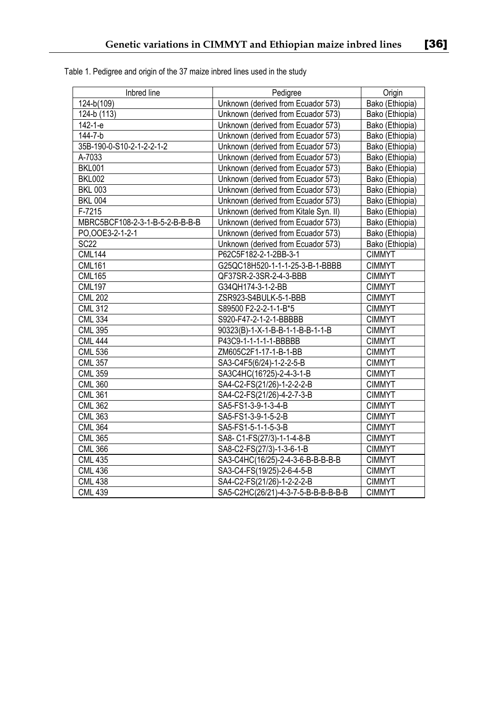| ra lines |  | LJT |
|----------|--|-----|
|          |  |     |
|          |  |     |
|          |  |     |

| Inbred line                     | Pedigree                              | Origin          |
|---------------------------------|---------------------------------------|-----------------|
| 124-b(109)                      | Unknown (derived from Ecuador 573)    | Bako (Ethiopia) |
| 124-b (113)                     | Unknown (derived from Ecuador 573)    | Bako (Ethiopia) |
| 142-1-e                         | Unknown (derived from Ecuador 573)    | Bako (Ethiopia) |
| 144-7-b                         | Unknown (derived from Ecuador 573)    | Bako (Ethiopia) |
| 35B-190-0-S10-2-1-2-2-1-2       | Unknown (derived from Ecuador 573)    | Bako (Ethiopia) |
| A-7033                          | Unknown (derived from Ecuador 573)    | Bako (Ethiopia) |
| <b>BKL001</b>                   | Unknown (derived from Ecuador 573)    | Bako (Ethiopia) |
| <b>BKL002</b>                   | Unknown (derived from Ecuador 573)    | Bako (Ethiopia) |
| <b>BKL 003</b>                  | Unknown (derived from Ecuador 573)    | Bako (Ethiopia) |
| <b>BKL 004</b>                  | Unknown (derived from Ecuador 573)    | Bako (Ethiopia) |
| F-7215                          | Unknown (derived from Kitale Syn. II) | Bako (Ethiopia) |
| MBRC5BCF108-2-3-1-B-5-2-B-B-B-B | Unknown (derived from Ecuador 573)    | Bako (Ethiopia) |
| PO, OOE 3-2-1-2-1               | Unknown (derived from Ecuador 573)    | Bako (Ethiopia) |
| <b>SC22</b>                     | Unknown (derived from Ecuador 573)    | Bako (Ethiopia) |
| <b>CML144</b>                   | P62C5F182-2-1-2BB-3-1                 | <b>CIMMYT</b>   |
| <b>CML161</b>                   | G25QC18H520-1-1-1-25-3-B-1-BBBB       | <b>CIMMYT</b>   |
| <b>CML165</b>                   | QF37SR-2-3SR-2-4-3-BBB                | <b>CIMMYT</b>   |
| <b>CML197</b>                   | G34QH174-3-1-2-BB                     | <b>CIMMYT</b>   |
| <b>CML 202</b>                  | ZSR923-S4BULK-5-1-BBB                 | <b>CIMMYT</b>   |
| <b>CML 312</b>                  | S89500 F2-2-2-1-1-B*5                 | <b>CIMMYT</b>   |
| <b>CML 334</b>                  | S920-F47-2-1-2-1-BBBBB                | <b>CIMMYT</b>   |
| <b>CML 395</b>                  | 90323(B)-1-X-1-B-B-1-1-B-B-1-1-B      | <b>CIMMYT</b>   |
| <b>CML 444</b>                  | P43C9-1-1-1-1-1-BBBBB                 | <b>CIMMYT</b>   |
| <b>CML 536</b>                  | ZM605C2F1-17-1-B-1-BB                 | <b>CIMMYT</b>   |
| <b>CML 357</b>                  | SA3-C4F5(6/24)-1-2-2-5-B              | <b>CIMMYT</b>   |
| <b>CML 359</b>                  | SA3C4HC(16?25)-2-4-3-1-B              | <b>CIMMYT</b>   |
| <b>CML 360</b>                  | SA4-C2-FS(21/26)-1-2-2-2-B            | <b>CIMMYT</b>   |
| <b>CML 361</b>                  | SA4-C2-FS(21/26)-4-2-7-3-B            | <b>CIMMYT</b>   |
| <b>CML 362</b>                  | SA5-FS1-3-9-1-3-4-B                   | <b>CIMMYT</b>   |
| <b>CML 363</b>                  | SA5-FS1-3-9-1-5-2-B                   | <b>CIMMYT</b>   |
| <b>CML 364</b>                  | SA5-FS1-5-1-1-5-3-B                   | <b>CIMMYT</b>   |
| <b>CML 365</b>                  | SA8- C1-FS(27/3)-1-1-4-8-B            | <b>CIMMYT</b>   |
| <b>CML 366</b>                  | SA8-C2-FS(27/3)-1-3-6-1-B             | <b>CIMMYT</b>   |
| <b>CML 435</b>                  | SA3-C4HC(16/25)-2-4-3-6-B-B-B-B-B     | <b>CIMMYT</b>   |
| <b>CML 436</b>                  | SA3-C4-FS(19/25)-2-6-4-5-B            | <b>CIMMYT</b>   |
| <b>CML 438</b>                  | SA4-C2-FS(21/26)-1-2-2-2-B            | <b>CIMMYT</b>   |
| <b>CML 439</b>                  | SA5-C2HC(26/21)-4-3-7-5-B-B-B-B-B-B   | <b>CIMMYT</b>   |

Table 1. Pedigree and origin of the 37 maize inbred lines used in the study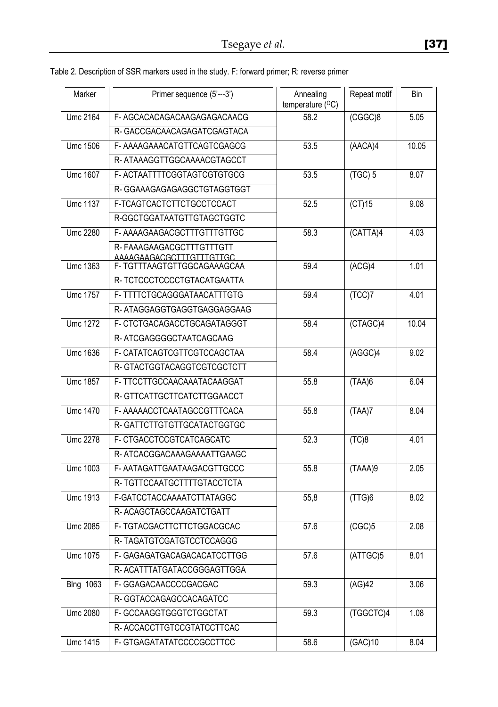| Marker           | Primer sequence (5'---3')                               | Annealing<br>temperature $(^{\circ}C)$ | Repeat motif        | Bin   |
|------------------|---------------------------------------------------------|----------------------------------------|---------------------|-------|
| <b>Umc 2164</b>  | F-AGCACACAGACAAGAGAGACAACG                              | 58.2                                   | (CGGC)8             | 5.05  |
|                  | R-GACCGACAACAGAGATCGAGTACA                              |                                        |                     |       |
| <b>Umc 1506</b>  | F-AAAAGAAACATGTTCAGTCGAGCG                              | 53.5                                   | (AACA)4             | 10.05 |
|                  | R-ATAAAGGTTGGCAAAACGTAGCCT                              |                                        |                     |       |
| <b>Umc 1607</b>  | F-ACTAATTTTCGGTAGTCGTGTGCG                              | 53.5                                   | $(TGC)$ 5           | 8.07  |
|                  | R-GGAAAGAGAGAGGCTGTAGGTGGT                              |                                        |                     |       |
| <b>Umc 1137</b>  | F-TCAGTCACTCTTCTGCCTCCACT                               | 52.5                                   | $\overline{(CT)15}$ | 9.08  |
|                  | R-GGCTGGATAATGTTGTAGCTGGTC                              |                                        |                     |       |
| Umc 2280         | F-AAAAGAAGACGCTTTGTTTGTTGC                              | 58.3                                   | (CATTA)4            | 4.03  |
|                  | R-FAAAGAAGACGCTTTGTTTGTT                                |                                        |                     |       |
| Umc 1363         | AAAAGAAGACGCTTTGTTTGTTGC<br>F- TGTTTAAGTGTTGGCAGAAAGCAA | 59.4                                   | (ACG)4              | 1.01  |
|                  | R- TCTCCCTCCCCTGTACATGAATTA                             |                                        |                     |       |
| Umc 1757         | F- TTTTCTGCAGGGATAACATTTGTG                             | 59.4                                   | (TCC)7              | 4.01  |
|                  | R-ATAGGAGGTGAGGTGAGGAGGAAG                              |                                        |                     |       |
| <b>Umc 1272</b>  | F- CTCTGACAGACCTGCAGATAGGGT                             | 58.4                                   | (CTAGC)4            | 10.04 |
|                  | R-ATCGAGGGGCTAATCAGCAAG                                 |                                        |                     |       |
| <b>Umc 1636</b>  | F- CATATCAGTCGTTCGTCCAGCTAA                             | 58.4                                   | (AGGC)4             | 9.02  |
|                  | R-GTACTGGTACAGGTCGTCGCTCTT                              |                                        |                     |       |
| Umc 1857         | F-TTCCTTGCCAACAAATACAAGGAT                              | 55.8                                   | (TAA)6              | 6.04  |
|                  | R-GTTCATTGCTTCATCTTGGAACCT                              |                                        |                     |       |
| <b>Umc 1470</b>  | F-AAAAACCTCAATAGCCGTTTCACA                              | 55.8                                   | (TAA)7              | 8.04  |
|                  | R-GATTCTTGTGTTGCATACTGGTGC                              |                                        |                     |       |
| <b>Umc 2278</b>  | F-CTGACCTCCGTCATCAGCATC                                 | 52.3                                   | (TC)8               | 4.01  |
|                  | R-ATCACGGACAAAGAAAATTGAAGC                              |                                        |                     |       |
| <b>Umc 1003</b>  | F-AATAGATTGAATAAGACGTTGCCC                              | 55.8                                   | (TAAA)9             | 2.05  |
|                  | R- TGTTCCAATGCTTTTGTACCTCTA                             |                                        |                     |       |
| Umc 1913         | F-GATCCTACCAAAATCTTATAGGC                               | 55,8                                   | (TTG)6              | 8.02  |
|                  | R- ACAGCTAGCCAAGATCTGATT                                |                                        |                     |       |
| <b>Umc 2085</b>  | F-TGTACGACTTCTTCTGGACGCAC                               | 57.6                                   | (CGC)5              | 2.08  |
|                  | R-TAGATGTCGATGTCCTCCAGGG                                |                                        |                     |       |
| Umc 1075         | F-GAGAGATGACAGACACATCCTTGG                              | 57.6                                   | (ATTGC)5            | 8.01  |
|                  | R- ACATTTATGATACCGGGAGTTGGA                             |                                        |                     |       |
| <b>Blng 1063</b> | F-GGAGACAACCCCGACGAC                                    | 59.3                                   | (AG)42              | 3.06  |
|                  | R-GGTACCAGAGCCACAGATCC                                  |                                        |                     |       |
| <b>Umc 2080</b>  | F-GCCAAGGTGGGTCTGGCTAT                                  | $\overline{59.3}$                      | (TGGCTC)4           | 1.08  |
|                  | R-ACCACCTTGTCCGTATCCTTCAC                               |                                        |                     |       |
| <b>Umc 1415</b>  | F-GTGAGATATATCCCCGCCTTCC                                | 58.6                                   | (GAC)10             | 8.04  |

Table 2. Description of SSR markers used in the study. F: forward primer; R: reverse primer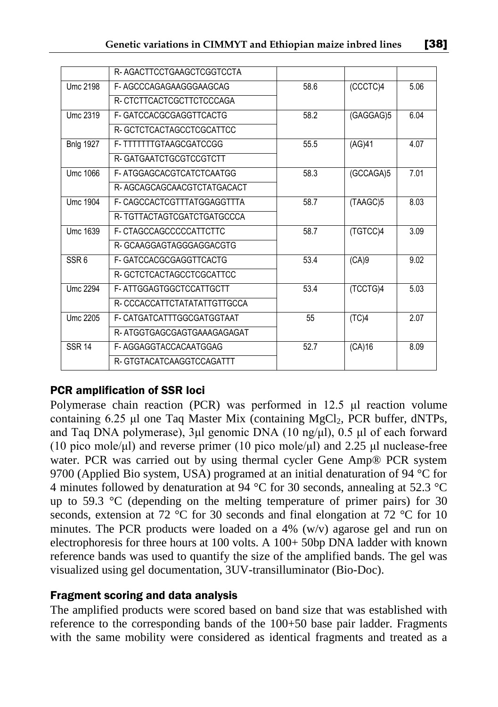|                  | R-AGACTTCCTGAAGCTCGGTCCTA    |      |           |      |
|------------------|------------------------------|------|-----------|------|
| Umc 2198         | F-AGCCCAGAGAAGGGAAGCAG       | 58.6 | (CCCTC)4  | 5.06 |
|                  | R-CTCTTCACTCGCTTCTCCCAGA     |      |           |      |
| Umc 2319         | F-GATCCACGCGAGGTTCACTG       | 58.2 | (GAGGAG)5 | 6.04 |
|                  | R-GCTCTCACTAGCCTCGCATTCC     |      |           |      |
| <b>Bnlg 1927</b> | F-TTTTTTTGTAAGCGATCCGG       | 55.5 | (AG)41    | 4.07 |
|                  | R-GATGAATCTGCGTCCGTCTT       |      |           |      |
| Umc 1066         | F-ATGGAGCACGTCATCTCAATGG     | 58.3 | (GCCAGA)5 | 7.01 |
|                  | R-AGCAGCAGCAACGTCTATGACACT   |      |           |      |
| Umc 1904         | F- CAGCCACTCGTTTATGGAGGTTTA  | 58.7 | (TAAGC)5  | 8.03 |
|                  | R-TGTTACTAGTCGATCTGATGCCCA   |      |           |      |
| Umc 1639         | F-CTAGCCAGCCCCCATTCTTC       | 58.7 | (TGTCC)4  | 3.09 |
|                  | R-GCAAGGAGTAGGGAGGACGTG      |      |           |      |
| SSR <sub>6</sub> | F-GATCCACGCGAGGTTCACTG       | 53.4 | (CA)9     | 9.02 |
|                  | R-GCTCTCACTAGCCTCGCATTCC     |      |           |      |
| Umc 2294         | F-ATTGGAGTGGCTCCATTGCTT      | 53.4 | (TCCTG)4  | 5.03 |
|                  | R- CCCACCATTCTATATATTGTTGCCA |      |           |      |
| Umc 2205         | F- CATGATCATTTGGCGATGGTAAT   | 55   | (TC)4     | 2.07 |
|                  | R-ATGGTGAGCGAGTGAAAGAGAGAT   |      |           |      |
| <b>SSR 14</b>    | F-AGGAGGTACCACAATGGAG        | 52.7 | (CA)16    | 8.09 |
|                  | R-GTGTACATCAAGGTCCAGATTT     |      |           |      |

## PCR amplification of SSR loci

Polymerase chain reaction (PCR) was performed in 12.5 μl reaction volume containing  $6.25$  μl one Taq Master Mix (containing MgCl<sub>2</sub>, PCR buffer, dNTPs, and Taq DNA polymerase), 3μl genomic DNA (10 ng/μl), 0.5 μl of each forward (10 pico mole/μl) and reverse primer (10 pico mole/μl) and 2.25 μl nuclease-free water. PCR was carried out by using thermal cycler Gene Amp® PCR system 9700 (Applied Bio system, USA) programed at an initial denaturation of 94 °C for 4 minutes followed by denaturation at 94 °C for 30 seconds, annealing at 52.3 °C up to 59.3 °C (depending on the melting temperature of primer pairs) for 30 seconds, extension at 72 °C for 30 seconds and final elongation at 72 °C for 10 minutes. The PCR products were loaded on a 4%  $(w/v)$  agarose gel and run on electrophoresis for three hours at 100 volts. A 100+ 50bp DNA ladder with known reference bands was used to quantify the size of the amplified bands. The gel was visualized using gel documentation, 3UV-transilluminator (Bio-Doc).

### Fragment scoring and data analysis

The amplified products were scored based on band size that was established with reference to the corresponding bands of the 100+50 base pair ladder. Fragments with the same mobility were considered as identical fragments and treated as a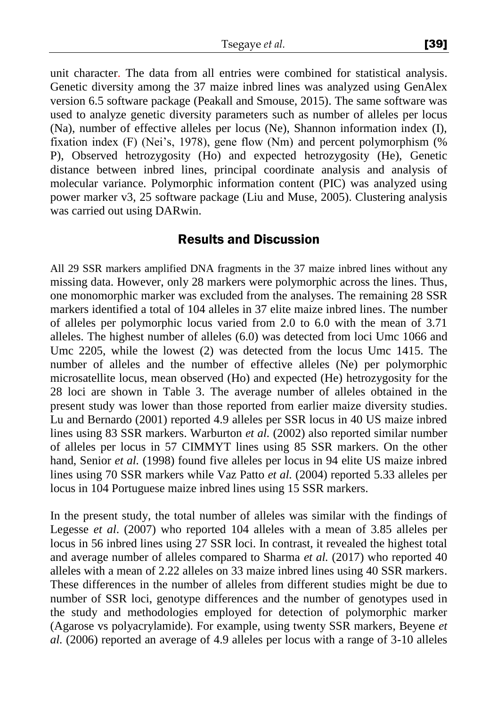unit character. The data from all entries were combined for statistical analysis. Genetic diversity among the 37 maize inbred lines was analyzed using GenAlex version 6.5 software package (Peakall and Smouse, 2015). The same software was used to analyze genetic diversity parameters such as number of alleles per locus (Na), number of effective alleles per locus (Ne), Shannon information index (I), fixation index (F) (Nei's, 1978), gene flow (Nm) and percent polymorphism (% P), Observed hetrozygosity (Ho) and expected hetrozygosity (He), Genetic distance between inbred lines, principal coordinate analysis and analysis of molecular variance. Polymorphic information content (PIC) was analyzed using power marker v3, 25 software package (Liu and Muse, 2005). Clustering analysis was carried out using DARwin.

### Results and Discussion

All 29 SSR markers amplified DNA fragments in the 37 maize inbred lines without any missing data. However, only 28 markers were polymorphic across the lines. Thus, one monomorphic marker was excluded from the analyses. The remaining 28 SSR markers identified a total of 104 alleles in 37 elite maize inbred lines. The number of alleles per polymorphic locus varied from 2.0 to 6.0 with the mean of 3.71 alleles. The highest number of alleles (6.0) was detected from loci Umc 1066 and Umc 2205, while the lowest (2) was detected from the locus Umc 1415. The number of alleles and the number of effective alleles (Ne) per polymorphic microsatellite locus, mean observed (Ho) and expected (He) hetrozygosity for the 28 loci are shown in Table 3. The average number of alleles obtained in the present study was lower than those reported from earlier maize diversity studies. Lu and Bernardo (2001) reported 4.9 alleles per SSR locus in 40 US maize inbred lines using 83 SSR markers. Warburton *et al.* (2002) also reported similar number of alleles per locus in 57 CIMMYT lines using 85 SSR markers. On the other hand, Senior *et al.* (1998) found five alleles per locus in 94 elite US maize inbred lines using 70 SSR markers while Vaz Patto *et al.* (2004) reported 5.33 alleles per locus in 104 Portuguese maize inbred lines using 15 SSR markers.

In the present study, the total number of alleles was similar with the findings of Legesse *et al*. (2007) who reported 104 alleles with a mean of 3.85 alleles per locus in 56 inbred lines using 27 SSR loci. In contrast, it revealed the highest total and average number of alleles compared to Sharma *et al.* (2017) who reported 40 alleles with a mean of 2.22 alleles on 33 maize inbred lines using 40 SSR markers. These differences in the number of alleles from different studies might be due to number of SSR loci, genotype differences and the number of genotypes used in the study and methodologies employed for detection of polymorphic marker (Agarose vs polyacrylamide). For example, using twenty SSR markers, Beyene *et al.* (2006) reported an average of 4.9 alleles per locus with a range of 3-10 alleles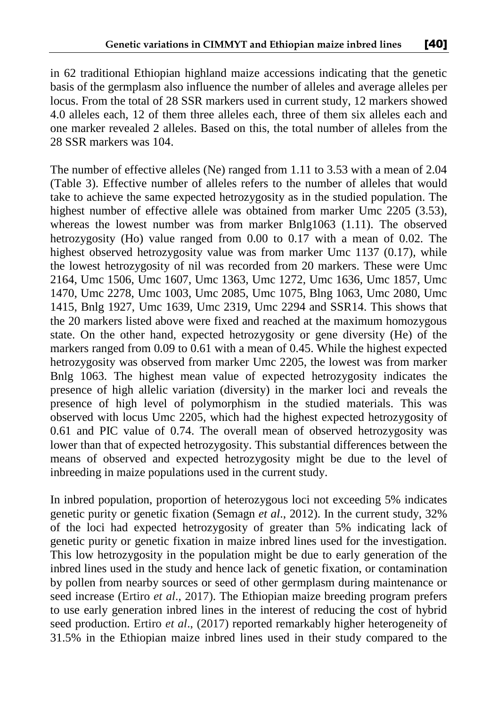in 62 traditional Ethiopian highland maize accessions indicating that the genetic basis of the germplasm also influence the number of alleles and average alleles per locus. From the total of 28 SSR markers used in current study, 12 markers showed 4.0 alleles each, 12 of them three alleles each, three of them six alleles each and one marker revealed 2 alleles. Based on this, the total number of alleles from the 28 SSR markers was 104.

The number of effective alleles (Ne) ranged from 1.11 to 3.53 with a mean of 2.04 (Table 3). Effective number of alleles refers to the number of alleles that would take to achieve the same expected hetrozygosity as in the studied population. The highest number of effective allele was obtained from marker Umc 2205 (3.53), whereas the lowest number was from marker Bnlg1063 (1.11). The observed hetrozygosity (Ho) value ranged from 0.00 to 0.17 with a mean of 0.02. The highest observed hetrozygosity value was from marker Umc 1137 (0.17), while the lowest hetrozygosity of nil was recorded from 20 markers. These were Umc 2164, Umc 1506, Umc 1607, Umc 1363, Umc 1272, Umc 1636, Umc 1857, Umc 1470, Umc 2278, Umc 1003, Umc 2085, Umc 1075, Blng 1063, Umc 2080, Umc 1415, Bnlg 1927, Umc 1639, Umc 2319, Umc 2294 and SSR14. This shows that the 20 markers listed above were fixed and reached at the maximum homozygous state. On the other hand, expected hetrozygosity or gene diversity (He) of the markers ranged from 0.09 to 0.61 with a mean of 0.45. While the highest expected hetrozygosity was observed from marker Umc 2205, the lowest was from marker Bnlg 1063. The highest mean value of expected hetrozygosity indicates the presence of high allelic variation (diversity) in the marker loci and reveals the presence of high level of polymorphism in the studied materials. This was observed with locus Umc 2205, which had the highest expected hetrozygosity of 0.61 and PIC value of 0.74. The overall mean of observed hetrozygosity was lower than that of expected hetrozygosity. This substantial differences between the means of observed and expected hetrozygosity might be due to the level of inbreeding in maize populations used in the current study.

In inbred population, proportion of heterozygous loci not exceeding 5% indicates genetic purity or genetic fixation (Semagn *et al*., 2012). In the current study, 32% of the loci had expected hetrozygosity of greater than 5% indicating lack of genetic purity or genetic fixation in maize inbred lines used for the investigation. This low hetrozygosity in the population might be due to early generation of the inbred lines used in the study and hence lack of genetic fixation, or contamination by pollen from nearby sources or seed of other germplasm during maintenance or seed increase (Ertiro *et al*., 2017). The Ethiopian maize breeding program prefers to use early generation inbred lines in the interest of reducing the cost of hybrid seed production. Ertiro *et al*., (2017) reported remarkably higher heterogeneity of 31.5% in the Ethiopian maize inbred lines used in their study compared to the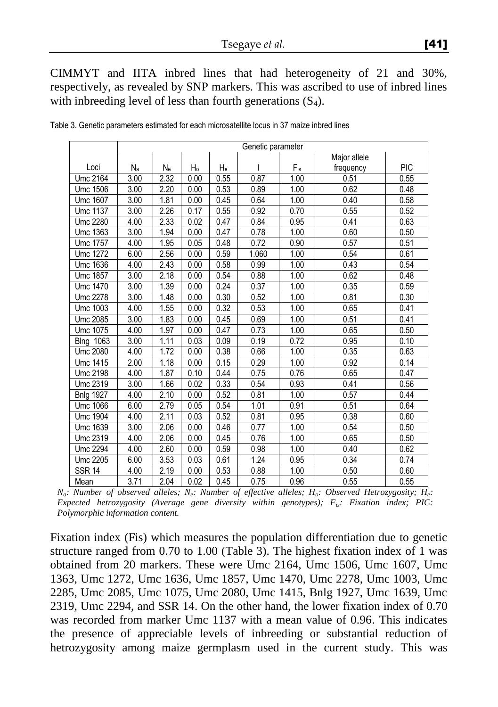CIMMYT and IITA inbred lines that had heterogeneity of 21 and 30%, respectively, as revealed by SNP markers. This was ascribed to use of inbred lines with inbreeding level of less than fourth generations  $(S_4)$ .

|                  | Genetic parameter |      |      |      |       |          |              |            |
|------------------|-------------------|------|------|------|-------|----------|--------------|------------|
|                  |                   |      |      |      |       |          | Major allele |            |
| Loci             | Na                | Ne   | Ho   | He   |       | $F_{is}$ | frequency    | <b>PIC</b> |
| Umc 2164         | 3.00              | 2.32 | 0.00 | 0.55 | 0.87  | 1.00     | 0.51         | 0.55       |
| Umc 1506         | 3.00              | 2.20 | 0.00 | 0.53 | 0.89  | 1.00     | 0.62         | 0.48       |
| Umc 1607         | 3.00              | 1.81 | 0.00 | 0.45 | 0.64  | 1.00     | 0.40         | 0.58       |
| Umc 1137         | 3.00              | 2.26 | 0.17 | 0.55 | 0.92  | 0.70     | 0.55         | 0.52       |
| Umc 2280         | 4.00              | 2.33 | 0.02 | 0.47 | 0.84  | 0.95     | 0.41         | 0.63       |
| Umc 1363         | 3.00              | 1.94 | 0.00 | 0.47 | 0.78  | 1.00     | 0.60         | 0.50       |
| Umc 1757         | 4.00              | 1.95 | 0.05 | 0.48 | 0.72  | 0.90     | 0.57         | 0.51       |
| Umc 1272         | 6.00              | 2.56 | 0.00 | 0.59 | 1.060 | 1.00     | 0.54         | 0.61       |
| Umc 1636         | 4.00              | 2.43 | 0.00 | 0.58 | 0.99  | 1.00     | 0.43         | 0.54       |
| Umc 1857         | 3.00              | 2.18 | 0.00 | 0.54 | 0.88  | 1.00     | 0.62         | 0.48       |
| Umc 1470         | 3.00              | 1.39 | 0.00 | 0.24 | 0.37  | 1.00     | 0.35         | 0.59       |
| Umc 2278         | 3.00              | 1.48 | 0.00 | 0.30 | 0.52  | 1.00     | 0.81         | 0.30       |
| Umc 1003         | 4.00              | 1.55 | 0.00 | 0.32 | 0.53  | 1.00     | 0.65         | 0.41       |
| Umc 2085         | 3.00              | 1.83 | 0.00 | 0.45 | 0.69  | 1.00     | 0.51         | 0.41       |
| Umc 1075         | 4.00              | 1.97 | 0.00 | 0.47 | 0.73  | 1.00     | 0.65         | 0.50       |
| <b>Blng 1063</b> | 3.00              | 1.11 | 0.03 | 0.09 | 0.19  | 0.72     | 0.95         | 0.10       |
| Umc 2080         | 4.00              | 1.72 | 0.00 | 0.38 | 0.66  | 1.00     | 0.35         | 0.63       |
| Umc 1415         | 2.00              | 1.18 | 0.00 | 0.15 | 0.29  | 1.00     | 0.92         | 0.14       |
| Umc 2198         | 4.00              | 1.87 | 0.10 | 0.44 | 0.75  | 0.76     | 0.65         | 0.47       |
| Umc 2319         | 3.00              | 1.66 | 0.02 | 0.33 | 0.54  | 0.93     | 0.41         | 0.56       |
| <b>Bnlg 1927</b> | 4.00              | 2.10 | 0.00 | 0.52 | 0.81  | 1.00     | 0.57         | 0.44       |
| Umc 1066         | 6.00              | 2.79 | 0.05 | 0.54 | 1.01  | 0.91     | 0.51         | 0.64       |
| Umc 1904         | 4.00              | 2.11 | 0.03 | 0.52 | 0.81  | 0.95     | 0.38         | 0.60       |
| Umc 1639         | 3.00              | 2.06 | 0.00 | 0.46 | 0.77  | 1.00     | 0.54         | 0.50       |
| Umc 2319         | 4.00              | 2.06 | 0.00 | 0.45 | 0.76  | 1.00     | 0.65         | 0.50       |
| Umc 2294         | 4.00              | 2.60 | 0.00 | 0.59 | 0.98  | 1.00     | 0.40         | 0.62       |
| Umc 2205         | 6.00              | 3.53 | 0.03 | 0.61 | 1.24  | 0.95     | 0.34         | 0.74       |
| <b>SSR 14</b>    | 4.00              | 2.19 | 0.00 | 0.53 | 0.88  | 1.00     | 0.50         | 0.60       |
| Mean             | 3.71              | 2.04 | 0.02 | 0.45 | 0.75  | 0.96     | 0.55         | 0.55       |

Table 3. Genetic parameters estimated for each microsatellite locus in 37 maize inbred lines

*Na : Number of observed alleles; N<sup>e</sup> : Number of effective alleles; H<sup>o</sup> : Observed Hetrozygosity; H<sup>e</sup> : Expected hetrozygosity (Average gene diversity within genotypes); Fis: Fixation index; PIC: Polymorphic information content.*

Fixation index (Fis) which measures the population differentiation due to genetic structure ranged from 0.70 to 1.00 (Table 3). The highest fixation index of 1 was obtained from 20 markers. These were Umc 2164, Umc 1506, Umc 1607, Umc 1363, Umc 1272, Umc 1636, Umc 1857, Umc 1470, Umc 2278, Umc 1003, Umc 2285, Umc 2085, Umc 1075, Umc 2080, Umc 1415, Bnlg 1927, Umc 1639, Umc 2319, Umc 2294, and SSR 14. On the other hand, the lower fixation index of 0.70 was recorded from marker Umc 1137 with a mean value of 0.96. This indicates the presence of appreciable levels of inbreeding or substantial reduction of hetrozygosity among maize germplasm used in the current study. This was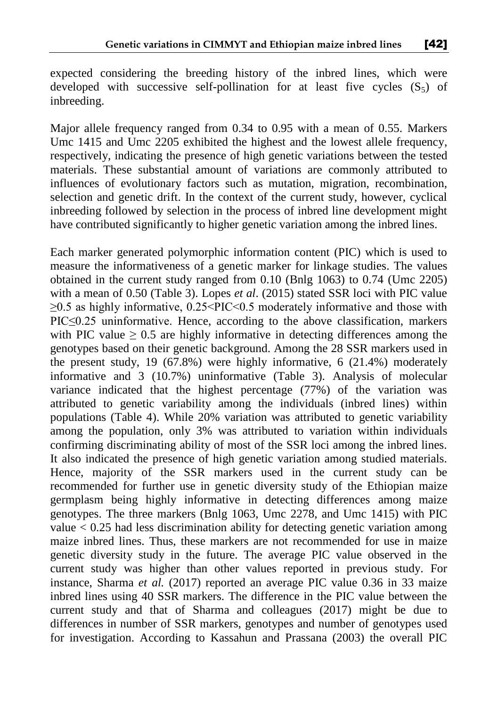expected considering the breeding history of the inbred lines, which were developed with successive self-pollination for at least five cycles  $(S<sub>5</sub>)$  of inbreeding.

Major allele frequency ranged from 0.34 to 0.95 with a mean of 0.55. Markers Umc 1415 and Umc 2205 exhibited the highest and the lowest allele frequency, respectively, indicating the presence of high genetic variations between the tested materials. These substantial amount of variations are commonly attributed to influences of evolutionary factors such as mutation, migration, recombination, selection and genetic drift. In the context of the current study, however, cyclical inbreeding followed by selection in the process of inbred line development might have contributed significantly to higher genetic variation among the inbred lines.

Each marker generated polymorphic information content (PIC) which is used to measure the informativeness of a genetic marker for linkage studies. The values obtained in the current study ranged from 0.10 (Bnlg 1063) to 0.74 (Umc 2205) with a mean of 0.50 (Table 3). Lopes *et al*. (2015) stated SSR loci with PIC value  $\geq$ 0.5 as highly informative, 0.25<PIC<0.5 moderately informative and those with PIC≤0.25 uninformative. Hence, according to the above classification, markers with PIC value  $\geq 0.5$  are highly informative in detecting differences among the genotypes based on their genetic background. Among the 28 SSR markers used in the present study, 19 (67.8%) were highly informative, 6 (21.4%) moderately informative and 3 (10.7%) uninformative (Table 3). Analysis of molecular variance indicated that the highest percentage (77%) of the variation was attributed to genetic variability among the individuals (inbred lines) within populations (Table 4). While 20% variation was attributed to genetic variability among the population, only 3% was attributed to variation within individuals confirming discriminating ability of most of the SSR loci among the inbred lines. It also indicated the presence of high genetic variation among studied materials. Hence, majority of the SSR markers used in the current study can be recommended for further use in genetic diversity study of the Ethiopian maize germplasm being highly informative in detecting differences among maize genotypes. The three markers (Bnlg 1063, Umc 2278, and Umc 1415) with PIC value < 0.25 had less discrimination ability for detecting genetic variation among maize inbred lines. Thus, these markers are not recommended for use in maize genetic diversity study in the future. The average PIC value observed in the current study was higher than other values reported in previous study. For instance, Sharma *et al.* (2017) reported an average PIC value 0.36 in 33 maize inbred lines using 40 SSR markers. The difference in the PIC value between the current study and that of Sharma and colleagues (2017) might be due to differences in number of SSR markers, genotypes and number of genotypes used for investigation. According to Kassahun and Prassana (2003) the overall PIC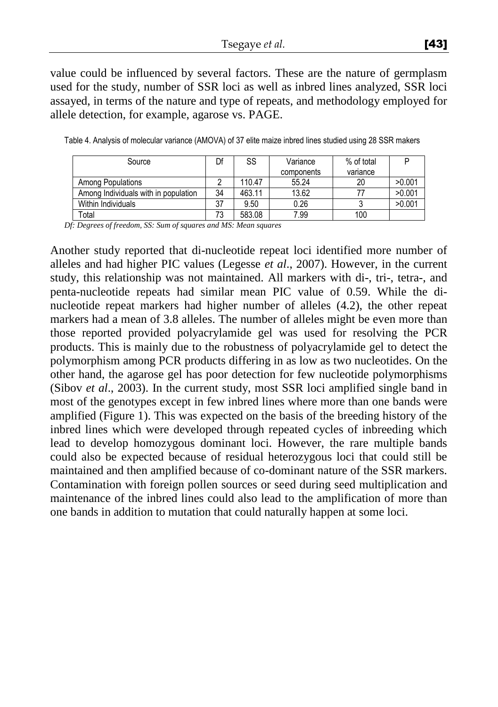value could be influenced by several factors. These are the nature of germplasm used for the study, number of SSR loci as well as inbred lines analyzed, SSR loci assayed, in terms of the nature and type of repeats, and methodology employed for allele detection, for example, agarose vs. PAGE.

| Source                               | Df | SS     | Variance   | % of total |        |
|--------------------------------------|----|--------|------------|------------|--------|
|                                      |    |        | components | variance   |        |
| Among Populations                    |    | 110.47 | 55.24      | 20         | >0.001 |
| Among Individuals with in population | 34 | 463.11 | 13.62      |            | >0.001 |
| Within Individuals                   | 37 | 9.50   | 0.26       |            | >0.001 |
| Total                                | 73 | 583.08 | 7.99       | 100        |        |

Table 4. Analysis of molecular variance (AMOVA) of 37 elite maize inbred lines studied using 28 SSR makers

*Df: Degrees of freedom, SS: Sum of squares and MS: Mean squares*

Another study reported that di-nucleotide repeat loci identified more number of alleles and had higher PIC values (Legesse *et al*., 2007). However, in the current study, this relationship was not maintained. All markers with di-, tri-, tetra-, and penta-nucleotide repeats had similar mean PIC value of 0.59. While the dinucleotide repeat markers had higher number of alleles (4.2), the other repeat markers had a mean of 3.8 alleles. The number of alleles might be even more than those reported provided polyacrylamide gel was used for resolving the PCR products. This is mainly due to the robustness of polyacrylamide gel to detect the polymorphism among PCR products differing in as low as two nucleotides. On the other hand, the agarose gel has poor detection for few nucleotide polymorphisms (Sibov *et al*., 2003). In the current study, most SSR loci amplified single band in most of the genotypes except in few inbred lines where more than one bands were amplified (Figure 1). This was expected on the basis of the breeding history of the inbred lines which were developed through repeated cycles of inbreeding which lead to develop homozygous dominant loci. However, the rare multiple bands could also be expected because of residual heterozygous loci that could still be maintained and then amplified because of co-dominant nature of the SSR markers. Contamination with foreign pollen sources or seed during seed multiplication and maintenance of the inbred lines could also lead to the amplification of more than one bands in addition to mutation that could naturally happen at some loci.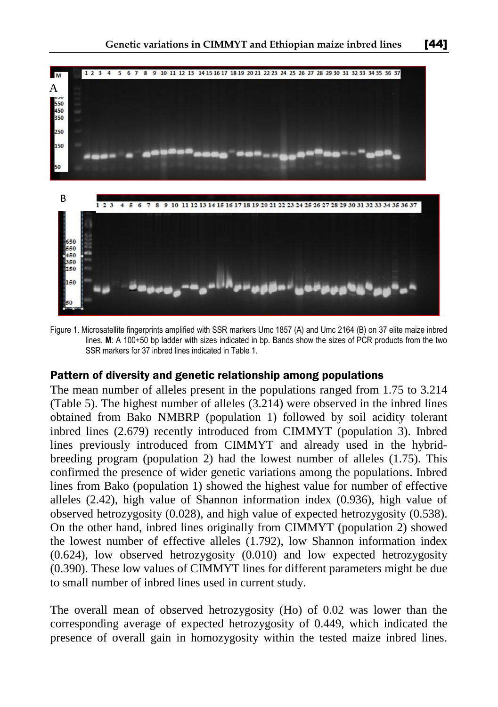

Figure 1. Microsatellite fingerprints amplified with SSR markers Umc 1857 (A) and Umc 2164 (B) on 37 elite maize inbred lines. **M**: A 100+50 bp ladder with sizes indicated in bp. Bands show the sizes of PCR products from the two SSR markers for 37 inbred lines indicated in Table 1.

### Pattern of diversity and genetic relationship among populations

The mean number of alleles present in the populations ranged from 1.75 to 3.214 (Table 5). The highest number of alleles (3.214) were observed in the inbred lines obtained from Bako NMBRP (population 1) followed by soil acidity tolerant inbred lines (2.679) recently introduced from CIMMYT (population 3). Inbred lines previously introduced from CIMMYT and already used in the hybridbreeding program (population 2) had the lowest number of alleles (1.75). This confirmed the presence of wider genetic variations among the populations. Inbred lines from Bako (population 1) showed the highest value for number of effective alleles (2.42), high value of Shannon information index (0.936), high value of observed hetrozygosity (0.028), and high value of expected hetrozygosity (0.538). On the other hand, inbred lines originally from CIMMYT (population 2) showed the lowest number of effective alleles (1.792), low Shannon information index (0.624), low observed hetrozygosity (0.010) and low expected hetrozygosity (0.390). These low values of CIMMYT lines for different parameters might be due to small number of inbred lines used in current study.

The overall mean of observed hetrozygosity (Ho) of 0.02 was lower than the corresponding average of expected hetrozygosity of 0.449, which indicated the presence of overall gain in homozygosity within the tested maize inbred lines.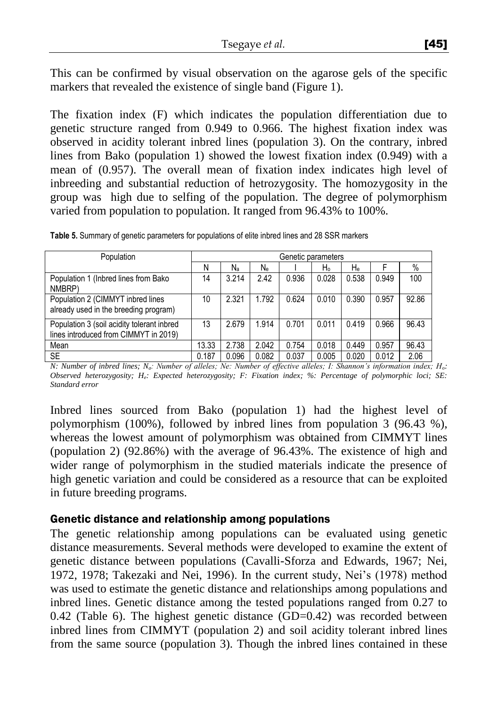This can be confirmed by visual observation on the agarose gels of the specific markers that revealed the existence of single band (Figure 1).

The fixation index (F) which indicates the population differentiation due to genetic structure ranged from 0.949 to 0.966. The highest fixation index was observed in acidity tolerant inbred lines (population 3). On the contrary, inbred lines from Bako (population 1) showed the lowest fixation index (0.949) with a mean of (0.957). The overall mean of fixation index indicates high level of inbreeding and substantial reduction of hetrozygosity. The homozygosity in the group was high due to selfing of the population. The degree of polymorphism varied from population to population. It ranged from 96.43% to 100%.

| Population                                                                          |       | Genetic parameters |       |       |       |       |       |       |  |
|-------------------------------------------------------------------------------------|-------|--------------------|-------|-------|-------|-------|-------|-------|--|
|                                                                                     | Ν     | $N_{\rm a}$        | Ne.   |       | H۰    | He    |       | $\%$  |  |
| Population 1 (Inbred lines from Bako<br>NMBRP)                                      | 14    | 3.214              | 2.42  | 0.936 | 0.028 | 0.538 | 0.949 | 100   |  |
| Population 2 (CIMMYT inbred lines<br>already used in the breeding program)          | 10    | 2.321              | 1.792 | 0.624 | 0.010 | 0.390 | 0.957 | 92.86 |  |
| Population 3 (soil acidity tolerant inbred<br>lines introduced from CIMMYT in 2019) | 13    | 2.679              | 1.914 | 0.701 | 0.011 | 0.419 | 0.966 | 96.43 |  |
| Mean                                                                                | 13.33 | 2.738              | 2.042 | 0.754 | 0.018 | 0.449 | 0.957 | 96.43 |  |
| <b>SE</b>                                                                           | 0.187 | 0.096              | 0.082 | 0.037 | 0.005 | 0.020 | 0.012 | 2.06  |  |

**Table 5.** Summary of genetic parameters for populations of elite inbred lines and 28 SSR markers

*N: Number of inbred lines; Na: Number of alleles; Ne: Number of effective alleles; I: Shannon's information index; Ho: Observed heterozygosity; He: Expected heterozygosity; F: Fixation index; %: Percentage of polymorphic loci; SE: Standard error*

Inbred lines sourced from Bako (population 1) had the highest level of polymorphism (100%), followed by inbred lines from population 3 (96.43 %), whereas the lowest amount of polymorphism was obtained from CIMMYT lines (population 2) (92.86%) with the average of 96.43%. The existence of high and wider range of polymorphism in the studied materials indicate the presence of high genetic variation and could be considered as a resource that can be exploited in future breeding programs.

### Genetic distance and relationship among populations

The genetic relationship among populations can be evaluated using genetic distance measurements. Several methods were developed to examine the extent of genetic distance between populations (Cavalli-Sforza and Edwards, 1967; Nei, 1972, 1978; Takezaki and Nei, 1996). In the current study, Nei's (1978) method was used to estimate the genetic distance and relationships among populations and inbred lines. Genetic distance among the tested populations ranged from 0.27 to 0.42 (Table 6). The highest genetic distance  $(GD=0.42)$  was recorded between inbred lines from CIMMYT (population 2) and soil acidity tolerant inbred lines from the same source (population 3). Though the inbred lines contained in these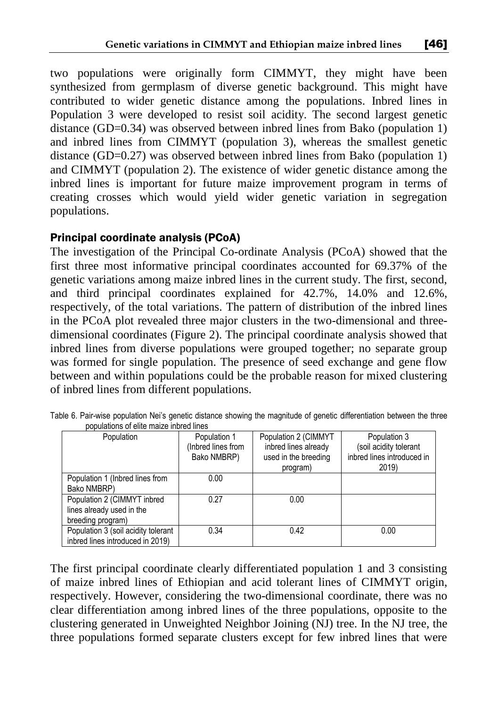two populations were originally form CIMMYT, they might have been synthesized from germplasm of diverse genetic background. This might have contributed to wider genetic distance among the populations. Inbred lines in Population 3 were developed to resist soil acidity. The second largest genetic distance (GD=0.34) was observed between inbred lines from Bako (population 1) and inbred lines from CIMMYT (population 3), whereas the smallest genetic distance (GD=0.27) was observed between inbred lines from Bako (population 1) and CIMMYT (population 2). The existence of wider genetic distance among the inbred lines is important for future maize improvement program in terms of creating crosses which would yield wider genetic variation in segregation populations.

### Principal coordinate analysis (PCoA)

The investigation of the Principal Co-ordinate Analysis (PCoA) showed that the first three most informative principal coordinates accounted for 69.37% of the genetic variations among maize inbred lines in the current study. The first, second, and third principal coordinates explained for 42.7%, 14.0% and 12.6%, respectively, of the total variations. The pattern of distribution of the inbred lines in the PCoA plot revealed three major clusters in the two-dimensional and threedimensional coordinates (Figure 2). The principal coordinate analysis showed that inbred lines from diverse populations were grouped together; no separate group was formed for single population. The presence of seed exchange and gene flow between and within populations could be the probable reason for mixed clustering of inbred lines from different populations.

| Population                                                                    | Population 1<br>(Inbred lines from<br>Bako NMBRP) | Population 2 (CIMMYT<br>inbred lines already<br>used in the breeding<br>program) | Population 3<br>(soil acidity tolerant<br>inbred lines introduced in<br>2019) |
|-------------------------------------------------------------------------------|---------------------------------------------------|----------------------------------------------------------------------------------|-------------------------------------------------------------------------------|
| Population 1 (Inbred lines from<br>Bako NMBRP)                                | 0.00                                              |                                                                                  |                                                                               |
| Population 2 (CIMMYT inbred<br>lines already used in the<br>breeding program) | 0.27                                              | 0.00                                                                             |                                                                               |
| Population 3 (soil acidity tolerant<br>inbred lines introduced in 2019)       | 0.34                                              | 0.42                                                                             | 0.00                                                                          |

Table 6. Pair-wise population Nei's genetic distance showing the magnitude of genetic differentiation between the three populations of elite maize inbred lines

The first principal coordinate clearly differentiated population 1 and 3 consisting of maize inbred lines of Ethiopian and acid tolerant lines of CIMMYT origin, respectively. However, considering the two-dimensional coordinate, there was no clear differentiation among inbred lines of the three populations, opposite to the clustering generated in Unweighted Neighbor Joining (NJ) tree. In the NJ tree, the three populations formed separate clusters except for few inbred lines that were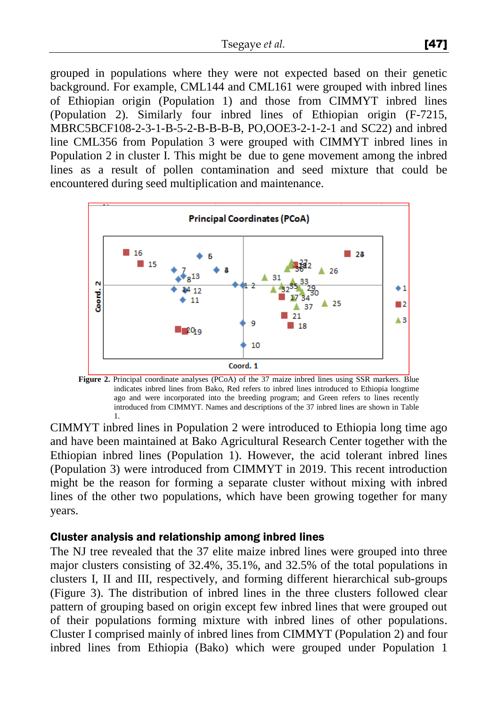grouped in populations where they were not expected based on their genetic background. For example, CML144 and CML161 were grouped with inbred lines of Ethiopian origin (Population 1) and those from CIMMYT inbred lines (Population 2). Similarly four inbred lines of Ethiopian origin (F-7215, MBRC5BCF108-2-3-1-B-5-2-B-B-B-B, PO,OOE3-2-1-2-1 and SC22) and inbred line CML356 from Population 3 were grouped with CIMMYT inbred lines in Population 2 in cluster I. This might be due to gene movement among the inbred lines as a result of pollen contamination and seed mixture that could be encountered during seed multiplication and maintenance.



**Figure 2.** Principal coordinate analyses (PCoA) of the 37 maize inbred lines using SSR markers. Blue indicates inbred lines from Bako, Red refers to inbred lines introduced to Ethiopia longtime ago and were incorporated into the breeding program; and Green refers to lines recently introduced from CIMMYT. Names and descriptions of the 37 inbred lines are shown in Table 1.

CIMMYT inbred lines in Population 2 were introduced to Ethiopia long time ago and have been maintained at Bako Agricultural Research Center together with the Ethiopian inbred lines (Population 1). However, the acid tolerant inbred lines (Population 3) were introduced from CIMMYT in 2019. This recent introduction might be the reason for forming a separate cluster without mixing with inbred lines of the other two populations, which have been growing together for many years.

#### Cluster analysis and relationship among inbred lines

The NJ tree revealed that the 37 elite maize inbred lines were grouped into three major clusters consisting of 32.4%, 35.1%, and 32.5% of the total populations in clusters I, II and III, respectively, and forming different hierarchical sub-groups (Figure 3). The distribution of inbred lines in the three clusters followed clear pattern of grouping based on origin except few inbred lines that were grouped out of their populations forming mixture with inbred lines of other populations. Cluster I comprised mainly of inbred lines from CIMMYT (Population 2) and four inbred lines from Ethiopia (Bako) which were grouped under Population 1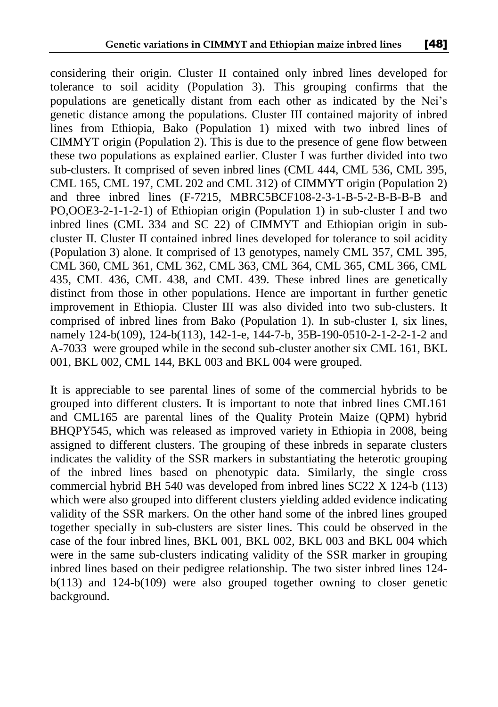considering their origin. Cluster II contained only inbred lines developed for tolerance to soil acidity (Population 3). This grouping confirms that the populations are genetically distant from each other as indicated by the Nei's genetic distance among the populations. Cluster III contained majority of inbred lines from Ethiopia, Bako (Population 1) mixed with two inbred lines of CIMMYT origin (Population 2). This is due to the presence of gene flow between these two populations as explained earlier. Cluster I was further divided into two sub-clusters. It comprised of seven inbred lines (CML 444, CML 536, CML 395, CML 165, CML 197, CML 202 and CML 312) of CIMMYT origin (Population 2) and three inbred lines (F-7215, MBRC5BCF108-2-3-1-B-5-2-B-B-B-B and PO,OOE3-2-1-1-2-1) of Ethiopian origin (Population 1) in sub-cluster I and two inbred lines (CML 334 and SC 22) of CIMMYT and Ethiopian origin in subcluster II. Cluster II contained inbred lines developed for tolerance to soil acidity (Population 3) alone. It comprised of 13 genotypes, namely CML 357, CML 395, CML 360, CML 361, CML 362, CML 363, CML 364, CML 365, CML 366, CML 435, CML 436, CML 438, and CML 439. These inbred lines are genetically distinct from those in other populations. Hence are important in further genetic improvement in Ethiopia. Cluster III was also divided into two sub-clusters. It comprised of inbred lines from Bako (Population 1). In sub-cluster I, six lines, namely 124-b(109), 124-b(113), 142-1-e, 144-7-b, 35B-190-0510-2-1-2-2-1-2 and A-7033 were grouped while in the second sub-cluster another six CML 161, BKL 001, BKL 002, CML 144, BKL 003 and BKL 004 were grouped.

It is appreciable to see parental lines of some of the commercial hybrids to be grouped into different clusters. It is important to note that inbred lines CML161 and CML165 are parental lines of the Quality Protein Maize (QPM) hybrid BHQPY545, which was released as improved variety in Ethiopia in 2008, being assigned to different clusters. The grouping of these inbreds in separate clusters indicates the validity of the SSR markers in substantiating the heterotic grouping of the inbred lines based on phenotypic data. Similarly, the single cross commercial hybrid BH 540 was developed from inbred lines SC22 X 124-b (113) which were also grouped into different clusters yielding added evidence indicating validity of the SSR markers. On the other hand some of the inbred lines grouped together specially in sub-clusters are sister lines. This could be observed in the case of the four inbred lines, BKL 001, BKL 002, BKL 003 and BKL 004 which were in the same sub-clusters indicating validity of the SSR marker in grouping inbred lines based on their pedigree relationship. The two sister inbred lines 124 b(113) and 124-b(109) were also grouped together owning to closer genetic background.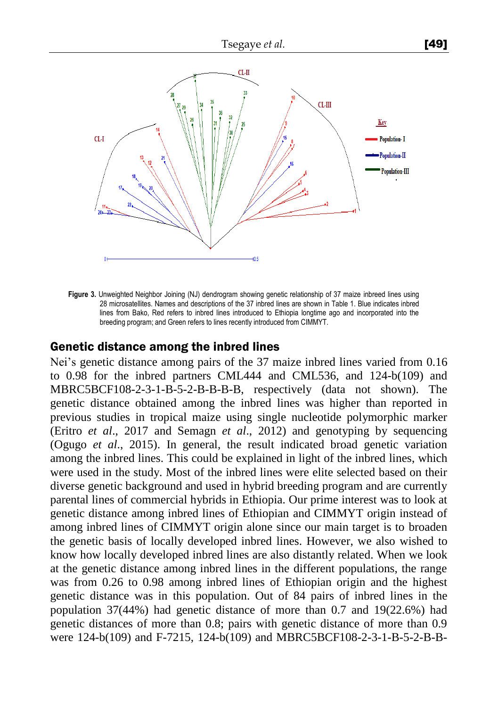

**Figure 3.** Unweighted Neighbor Joining (NJ) dendrogram showing genetic relationship of 37 maize inbreed lines using 28 microsatellites. Names and descriptions of the 37 inbred lines are shown in Table 1. Blue indicates inbred lines from Bako, Red refers to inbred lines introduced to Ethiopia longtime ago and incorporated into the breeding program; and Green refers to lines recently introduced from CIMMYT.

#### Genetic distance among the inbred lines

Nei's genetic distance among pairs of the 37 maize inbred lines varied from 0.16 to 0.98 for the inbred partners CML444 and CML536, and 124-b(109) and MBRC5BCF108-2-3-1-B-5-2-B-B-B-B, respectively (data not shown). The genetic distance obtained among the inbred lines was higher than reported in previous studies in tropical maize using single nucleotide polymorphic marker (Eritro *et al*., 2017 and Semagn *et al*., 2012) and genotyping by sequencing (Ogugo *et al*., 2015). In general, the result indicated broad genetic variation among the inbred lines. This could be explained in light of the inbred lines, which were used in the study. Most of the inbred lines were elite selected based on their diverse genetic background and used in hybrid breeding program and are currently parental lines of commercial hybrids in Ethiopia. Our prime interest was to look at genetic distance among inbred lines of Ethiopian and CIMMYT origin instead of among inbred lines of CIMMYT origin alone since our main target is to broaden the genetic basis of locally developed inbred lines. However, we also wished to know how locally developed inbred lines are also distantly related. When we look at the genetic distance among inbred lines in the different populations, the range was from 0.26 to 0.98 among inbred lines of Ethiopian origin and the highest genetic distance was in this population. Out of 84 pairs of inbred lines in the population 37(44%) had genetic distance of more than 0.7 and 19(22.6%) had genetic distances of more than 0.8; pairs with genetic distance of more than 0.9 were 124-b(109) and F-7215, 124-b(109) and MBRC5BCF108-2-3-1-B-5-2-B-B-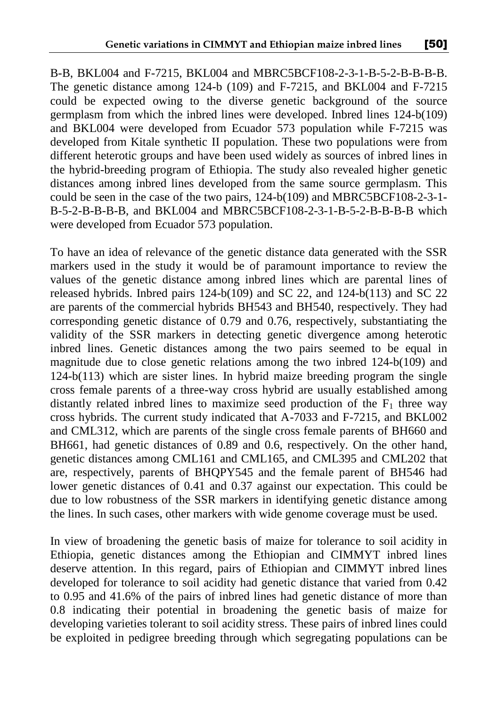B-B, BKL004 and F-7215, BKL004 and MBRC5BCF108-2-3-1-B-5-2-B-B-B-B. The genetic distance among 124-b (109) and F-7215, and BKL004 and F-7215 could be expected owing to the diverse genetic background of the source germplasm from which the inbred lines were developed. Inbred lines 124-b(109) and BKL004 were developed from Ecuador 573 population while F-7215 was developed from Kitale synthetic II population. These two populations were from different heterotic groups and have been used widely as sources of inbred lines in the hybrid-breeding program of Ethiopia. The study also revealed higher genetic distances among inbred lines developed from the same source germplasm. This could be seen in the case of the two pairs, 124-b(109) and MBRC5BCF108-2-3-1- B-5-2-B-B-B-B, and BKL004 and MBRC5BCF108-2-3-1-B-5-2-B-B-B-B which were developed from Ecuador 573 population.

To have an idea of relevance of the genetic distance data generated with the SSR markers used in the study it would be of paramount importance to review the values of the genetic distance among inbred lines which are parental lines of released hybrids. Inbred pairs 124-b(109) and SC 22, and 124-b(113) and SC 22 are parents of the commercial hybrids BH543 and BH540, respectively. They had corresponding genetic distance of 0.79 and 0.76, respectively, substantiating the validity of the SSR markers in detecting genetic divergence among heterotic inbred lines. Genetic distances among the two pairs seemed to be equal in magnitude due to close genetic relations among the two inbred 124-b(109) and 124-b(113) which are sister lines. In hybrid maize breeding program the single cross female parents of a three-way cross hybrid are usually established among distantly related inbred lines to maximize seed production of the  $F_1$  three way cross hybrids. The current study indicated that A-7033 and F-7215, and BKL002 and CML312, which are parents of the single cross female parents of BH660 and BH661, had genetic distances of 0.89 and 0.6, respectively. On the other hand, genetic distances among CML161 and CML165, and CML395 and CML202 that are, respectively, parents of BHQPY545 and the female parent of BH546 had lower genetic distances of 0.41 and 0.37 against our expectation. This could be due to low robustness of the SSR markers in identifying genetic distance among the lines. In such cases, other markers with wide genome coverage must be used.

In view of broadening the genetic basis of maize for tolerance to soil acidity in Ethiopia, genetic distances among the Ethiopian and CIMMYT inbred lines deserve attention. In this regard, pairs of Ethiopian and CIMMYT inbred lines developed for tolerance to soil acidity had genetic distance that varied from 0.42 to 0.95 and 41.6% of the pairs of inbred lines had genetic distance of more than 0.8 indicating their potential in broadening the genetic basis of maize for developing varieties tolerant to soil acidity stress. These pairs of inbred lines could be exploited in pedigree breeding through which segregating populations can be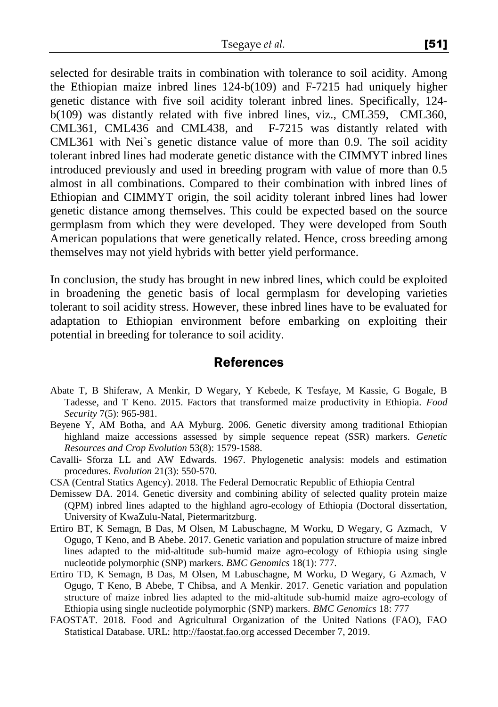selected for desirable traits in combination with tolerance to soil acidity. Among the Ethiopian maize inbred lines 124-b(109) and F-7215 had uniquely higher genetic distance with five soil acidity tolerant inbred lines. Specifically, 124 b(109) was distantly related with five inbred lines, viz., CML359, CML360, CML361, CML436 and CML438, and F-7215 was distantly related with CML361 with Nei`s genetic distance value of more than 0.9. The soil acidity tolerant inbred lines had moderate genetic distance with the CIMMYT inbred lines introduced previously and used in breeding program with value of more than 0.5 almost in all combinations. Compared to their combination with inbred lines of Ethiopian and CIMMYT origin, the soil acidity tolerant inbred lines had lower genetic distance among themselves. This could be expected based on the source germplasm from which they were developed. They were developed from South American populations that were genetically related. Hence, cross breeding among themselves may not yield hybrids with better yield performance.

In conclusion, the study has brought in new inbred lines, which could be exploited in broadening the genetic basis of local germplasm for developing varieties tolerant to soil acidity stress. However, these inbred lines have to be evaluated for adaptation to Ethiopian environment before embarking on exploiting their potential in breeding for tolerance to soil acidity.

### **References**

- Abate T, B Shiferaw, A Menkir, D Wegary, Y Kebede, K Tesfaye, M Kassie, G Bogale, B Tadesse, and T Keno. 2015. Factors that transformed maize productivity in Ethiopia. *Food Security* 7(5): 965-981.
- Beyene Y, AM Botha, and AA Myburg. 2006. Genetic diversity among traditional Ethiopian highland maize accessions assessed by simple sequence repeat (SSR) markers. *Genetic Resources and Crop Evolution* 53(8): 1579-1588.
- Cavalli‐ Sforza LL and AW Edwards. 1967. Phylogenetic analysis: models and estimation procedures. *Evolution* 21(3): 550-570.
- CSA (Central Statics Agency). 2018. The Federal Democratic Republic of Ethiopia Central
- Demissew DA. 2014. Genetic diversity and combining ability of selected quality protein maize (QPM) inbred lines adapted to the highland agro-ecology of Ethiopia (Doctoral dissertation, University of KwaZulu-Natal, Pietermaritzburg.
- Ertiro BT, K Semagn, B Das, M Olsen, M Labuschagne, M Worku, D Wegary, G Azmach, V Ogugo, T Keno, and B Abebe. 2017. Genetic variation and population structure of maize inbred lines adapted to the mid-altitude sub-humid maize agro-ecology of Ethiopia using single nucleotide polymorphic (SNP) markers. *BMC Genomics* 18(1): 777.
- Ertiro TD, K Semagn, B Das, M Olsen, M Labuschagne, M Worku, D Wegary, G Azmach, V Ogugo, T Keno, B Abebe, T Chibsa, and A Menkir. 2017. Genetic variation and population structure of maize inbred lies adapted to the mid-altitude sub-humid maize agro-ecology of Ethiopia using single nucleotide polymorphic (SNP) markers. *BMC Genomics* 18: 777
- FAOSTAT. 2018. Food and Agricultural Organization of the United Nations (FAO), FAO Statistical Database. URL: [http://faostat.fao.org](http://faostat.fao.org/) accessed December 7, 2019.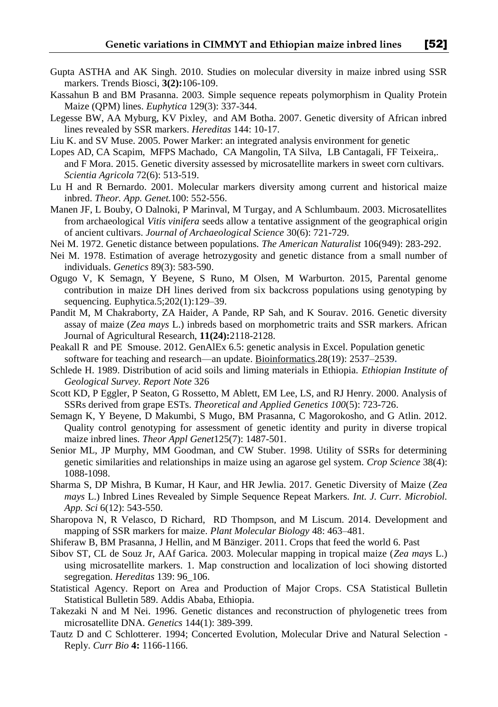- Gupta ASTHA and AK Singh. 2010. Studies on molecular diversity in maize inbred using SSR markers. Trends Biosci, **3(2):**106-109.
- Kassahun B and BM Prasanna. 2003. Simple sequence repeats polymorphism in Quality Protein Maize (QPM) lines. *Euphytica* 129(3): 337-344.
- Legesse BW, AA Myburg, KV Pixley, and AM Botha. 2007. Genetic diversity of African inbred lines revealed by SSR markers. *Hereditas* 144: 10-17.
- [Liu K.](https://www.ncbi.nlm.nih.gov/pubmed/?term=Liu%20K%5BAuthor%5D&cauthor=true&cauthor_uid=15705655) and SV [Muse.](https://www.ncbi.nlm.nih.gov/pubmed/?term=Muse%20SV%5BAuthor%5D&cauthor=true&cauthor_uid=15705655) 2005. Power Marker: an integrated analysis environment for genetic
- Lopes AD, CA Scapim, MFPS Machado, CA Mangolin, TA Silva, LB Cantagali, FF Teixeira,. and F Mora. 2015. Genetic diversity assessed by microsatellite markers in sweet corn cultivars. *Scientia Agricola* 72(6): 513-519.
- Lu H and R Bernardo. 2001. Molecular markers diversity among current and historical maize inbred. *Theor. App. Genet.*100: 552-556.
- Manen JF, L Bouby, O Dalnoki, P Marinval, M Turgay, and A Schlumbaum. 2003. Microsatellites from archaeological *Vitis vinifera* seeds allow a tentative assignment of the geographical origin of ancient cultivars. *Journal of Archaeological Science* 30(6): 721-729.
- Nei M. 1972. Genetic distance between populations. *The American Naturalist* 106(949): 283-292.
- Nei M. 1978. Estimation of average hetrozygosity and genetic distance from a small number of individuals. *Genetics* 89(3): 583-590.
- Ogugo V, K Semagn, Y Beyene, S Runo, M Olsen, M Warburton. 2015, Parental genome contribution in maize DH lines derived from six backcross populations using genotyping by sequencing. Euphytica.5;202(1):129–39.
- Pandit M, M Chakraborty, ZA Haider, A Pande, RP Sah, and K Sourav. 2016. Genetic diversity assay of maize (*Zea mays* L.) inbreds based on morphometric traits and SSR markers. African Journal of Agricultural Research, **11(24):**2118-2128.
- [Peakall](https://www.ncbi.nlm.nih.gov/pubmed/?term=Peakall%20R%5BAuthor%5D&cauthor=true&cauthor_uid=22820204) R and PE [Smouse.](https://www.ncbi.nlm.nih.gov/pubmed/?term=Smouse%20PE%5BAuthor%5D&cauthor=true&cauthor_uid=22820204) 2012. GenAlEx 6.5: genetic analysis in Excel. Population genetic software for teaching and research—an update. [Bioinformatics.](https://www.ncbi.nlm.nih.gov/pmc/articles/PMC3463245/)28(19): 2537–2539**.**
- Schlede H. 1989. Distribution of acid soils and liming materials in Ethiopia. *Ethiopian Institute of Geological Survey. Report Note* 326
- Scott KD, P Eggler, P Seaton, G Rossetto, M Ablett, EM Lee, LS, and RJ Henry. 2000. Analysis of SSRs derived from grape ESTs. *Theoretical and Applied Genetics 100*(5): 723-726.
- Semagn K, Y Beyene, D Makumbi, S Mugo, BM Prasanna, C Magorokosho, and G Atlin. 2012. Quality control genotyping for assessment of genetic identity and purity in diverse tropical maize inbred lines. *Theor Appl Genet*125(7): 1487-501.
- Senior ML, JP Murphy, MM Goodman, and CW Stuber. 1998. Utility of SSRs for determining genetic similarities and relationships in maize using an agarose gel system. *Crop Science* 38(4): 1088-1098.
- Sharma S, DP Mishra, B Kumar, H Kaur, and HR Jewlia. 2017. Genetic Diversity of Maize (*Zea mays* L.) Inbred Lines Revealed by Simple Sequence Repeat Markers. *Int. J. Curr. Microbiol. App. Sci* 6(12): 543-550.
- Sharopova N, R Velasco, D Richard, RD Thompson, and M Liscum. 2014. Development and mapping of SSR markers for maize. *Plant Molecular Biology* 48: 463–481.
- Shiferaw B, BM Prasanna, J Hellin, and M Bänziger. 2011. Crops that feed the world 6. Past
- Sibov ST, CL de Souz Jr, AAf Garica. 2003. Molecular mapping in tropical maize (*Zea mays* L.) using microsatellite markers. 1. Map construction and localization of loci showing distorted segregation. *Hereditas* 139: 96\_106.
- Statistical Agency. Report on Area and Production of Major Crops. CSA Statistical Bulletin Statistical Bulletin 589. Addis Ababa, Ethiopia.
- Takezaki N and M Nei. 1996. Genetic distances and reconstruction of phylogenetic trees from microsatellite DNA. *Genetics* 144(1): 389-399.
- Tautz D and C Schlotterer. 1994; Concerted Evolution, Molecular Drive and Natural Selection Reply. *Curr Bio* **4:** 1166-1166.